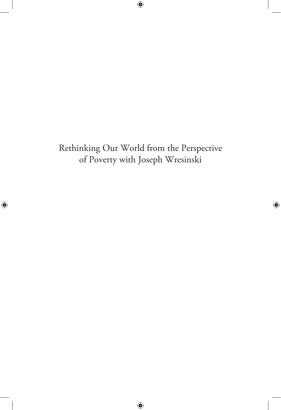# Rethinking Our World from the Perspective of Poverty with Joseph Wresinski

 $\bigoplus$ 

 $\bigoplus$ 

 $\bigoplus$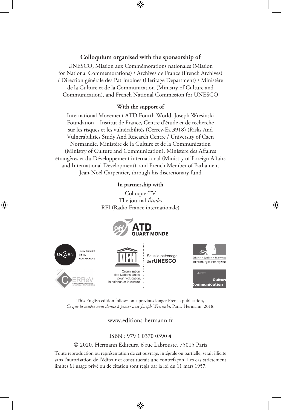### **Colloquium organised with the sponsorship of**

UNESCO, Mission aux Commémorations nationales (Mission for National Commemorations) / Archives de France (French Archives) / Direction générale des Patrimoines (Heritage Department) / Ministère de la Culture et de la Communication (Ministry of Culture and Communication), and French National Commission for UNESCO

### **With the support of**

International Movement ATD Fourth World, Joseph Wresinski Foundation – Institut de France, Centre d'étude et de recherche sur les risques et les vulnérabilités (Cerrev-Ea 3918) (Risks And Vulnerabilities Study And Research Centre / University of Caen Normandie, Ministère de la Culture et de la Communication (Ministry of Culture and Communication), Ministère des Affaires étrangères et du Développement international (Ministry of Foreign Affairs and International Development), and French Member of Parliament Jean-Noël Carpentier, through his discretionary fund

**In partnership with**

Colloque-TV The journal *Études* RFI (Radio France internationale)

↔



⊕

This English edition follows on a previous longer French publication, *Ce que la misère nous donne à penser avec Joseph Wresinski*, Paris, Hermann, 2018.

www.editions-hermann.fr

### ISBN : 979 1 0370 0390 4

### © 2020, Hermann Éditeurs, 6 rue Labrouste, 75015 Paris

Toute reproduction ou représentation de cet ouvrage, intégrale ou partielle, serait illicite sans l'autorisation de l'éditeur et constituerait une contrefaçon. Les cas strictement limités à l'usage privé ou de citation sont régis par la loi du 11 mars 1957.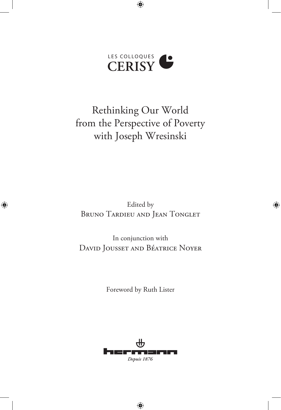# LES COLLOQUES **CERISY**

 $\bigoplus$ 

Rethinking Our World from the Perspective of Poverty with Joseph Wresinski

Edited by BRUNO TARDIEU AND JEAN TONGLET ⊕

 $\bigoplus$ 

In conjunction with David Jousset and Béatrice Noyer

Foreword by Ruth Lister

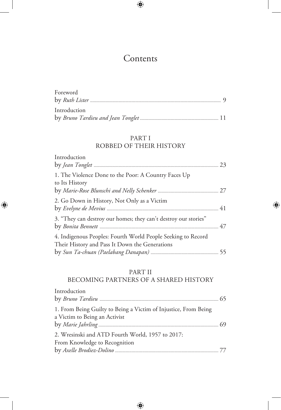# **Contents**

 $\bigoplus$ 

| Foreword     |  |
|--------------|--|
|              |  |
|              |  |
| Introduction |  |
|              |  |

# PART I

# ROBBED OF THEIR HISTORY

| Introduction                                                                                                   |  |
|----------------------------------------------------------------------------------------------------------------|--|
| 1. The Violence Done to the Poor: A Country Faces Up<br>to Its History                                         |  |
| 2. Go Down in History, Not Only as a Victim                                                                    |  |
| 3. "They can destroy our homes; they can't destroy our stories"                                                |  |
| 4. Indigenous Peoples: Fourth World People Seeking to Record<br>Their History and Pass It Down the Generations |  |

 $\bigoplus$ 

 $\bigoplus$ 

## PART II

# BECOMING PARTNERS OF A SHARED HISTORY

| Introduction                                                                                     |  |
|--------------------------------------------------------------------------------------------------|--|
|                                                                                                  |  |
| 1. From Being Guilty to Being a Victim of Injustice, From Being<br>a Victim to Being an Activist |  |
|                                                                                                  |  |
| 2. Wresinski and ATD Fourth World, 1957 to 2017:                                                 |  |
| From Knowledge to Recognition                                                                    |  |
|                                                                                                  |  |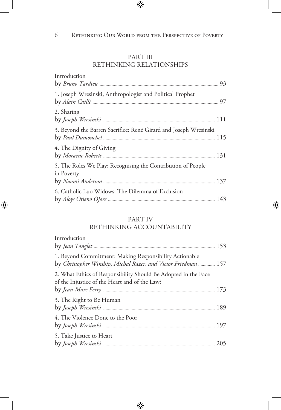$\bigoplus$ 

# PART III RETHINKING RELATIONSHIPS

| Introduction                                                               |  |
|----------------------------------------------------------------------------|--|
| 1. Joseph Wresinski, Anthropologist and Political Prophet                  |  |
| 2. Sharing                                                                 |  |
| 3. Beyond the Barren Sacrifice: René Girard and Joseph Wresinski           |  |
| 4. The Dignity of Giving                                                   |  |
| 5. The Roles We Play: Recognising the Contribution of People<br>in Poverty |  |
| 6. Catholic Luo Widows: The Dilemma of Exclusion                           |  |

## PART IV

⊕

# RETHINKING ACCOUNTABILITY

| Introduction                                                                                                             |  |
|--------------------------------------------------------------------------------------------------------------------------|--|
|                                                                                                                          |  |
| 1. Beyond Commitment: Making Responsibility Actionable<br>by Christopher Winship, Michal Razer, and Victor Friedman  157 |  |
| 2. What Ethics of Responsibility Should Be Adopted in the Face<br>of the Injustice of the Heart and of the Law?          |  |
| 3. The Right to Be Human                                                                                                 |  |
| 4. The Violence Done to the Poor                                                                                         |  |
| 5. Take Justice to Heart                                                                                                 |  |

 $\bigoplus$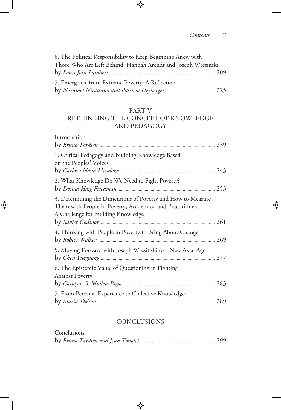### *Contents* 7

 $\bigoplus$ 

| 6. The Political Responsibility to Keep Beginning Anew with   |  |
|---------------------------------------------------------------|--|
| Those Who Are Left Behind: Hannah Arendt and Joseph Wresinski |  |
|                                                               |  |
| 7. Emergence from Extreme Poverty: A Reflection               |  |
|                                                               |  |

 $\bigoplus$ 

### PART V

### RETHINKING THE CONCEPT OF KNOWLEDGE AND PEDAGOGY

| Introduction                                                                                                                                                    | 239 |
|-----------------------------------------------------------------------------------------------------------------------------------------------------------------|-----|
| 1. Critical Pedagogy and Building Knowledge Based<br>on the Peoples' Voices                                                                                     |     |
| 2. What Knowledge Do We Need to Fight Poverty?                                                                                                                  |     |
| 3. Determining the Dimensions of Poverty and How to Measure<br>Them with People in Poverty, Academics, and Practitioners:<br>A Challenge for Building Knowledge | 261 |
| 4. Thinking with People in Poverty to Bring About Change                                                                                                        | 269 |
| 5. Moving Forward with Joseph Wresinski to a New Axial Age                                                                                                      | 277 |
| 6. The Epistemic Value of Questioning in Fighting<br><b>Against Poverty</b>                                                                                     | 283 |
| 7. From Personal Experience to Collective Knowledge                                                                                                             | 289 |

 $\bigoplus$ 

### **CONCLUSIONS**

| Conclusions |  |
|-------------|--|
|             |  |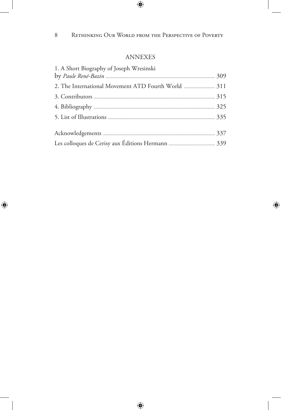$\bigoplus$ 

 $\overline{\phantom{a}}$ 

 $\bigoplus$ 

### ANNEXES

| 1. A Short Biography of Joseph Wresinski            |  |
|-----------------------------------------------------|--|
|                                                     |  |
| 2. The International Movement ATD Fourth World  311 |  |
|                                                     |  |
|                                                     |  |
|                                                     |  |
|                                                     |  |
|                                                     |  |
|                                                     |  |

 $\bigoplus$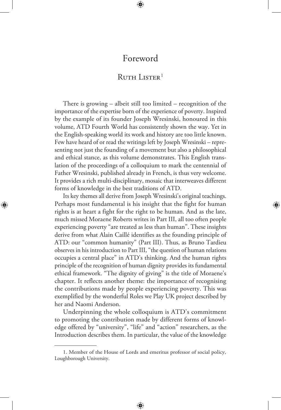# Foreword

⊕

# RUTH LISTER<sup>1</sup>

There is growing – albeit still too limited – recognition of the importance of the expertise born of the experience of poverty. Inspired by the example of its founder Joseph Wresinski, honoured in this volume, ATD Fourth World has consistently shown the way. Yet in the English-speaking world its work and history are too little known. Few have heard of or read the writings left by Joseph Wresinski – representing not just the founding of a movement but also a philosophical and ethical stance, as this volume demonstrates. This English translation of the proceedings of a colloquium to mark the centennial of Father Wresinski, published already in French, is thus very welcome. It provides a rich multi-disciplinary, mosaic that interweaves different forms of knowledge in the best traditions of ATD.

Its key themes all derive from Joseph Wresinski's original teachings. Perhaps most fundamental is his insight that the fight for human rights is at heart a fight for the right to be human. And as the late, much missed Moraene Roberts writes in Part III, all too often people experiencing poverty "are treated as less than human". These insights derive from what Alain Caillé identifies as the founding principle of ATD: our "common humanity" (Part III). Thus, as Bruno Tardieu observes in his introduction to Part III, "the question of human relations occupies a central place" in ATD's thinking. And the human rights principle of the recognition of human dignity provides its fundamental ethical framework. "The dignity of giving" is the title of Moraene's chapter. It reflects another theme: the importance of recognising the contributions made by people experiencing poverty. This was exemplified by the wonderful Roles we Play UK project described by her and Naomi Anderson.

⊕

Underpinning the whole colloquium is ATD's commitment to promoting the contribution made by different forms of knowledge offered by "university", "life" and "action" researchers, as the Introduction describes them. In particular, the value of the knowledge

<sup>1.</sup> Member of the House of Lords and emeritus professor of social policy, Loughborough University.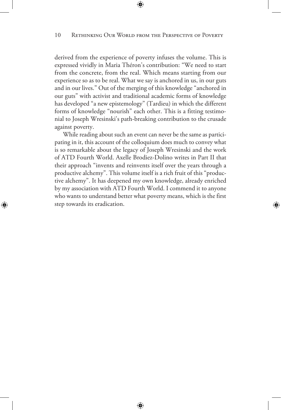### 10 RETHINKING OUR WORLD FROM THE PERSPECTIVE OF POVERTY

 $\bigcirc$ 

derived from the experience of poverty infuses the volume. This is expressed vividly in Maria Théron's contribution: "We need to start from the concrete, from the real. Which means starting from our experience so as to be real. What we say is anchored in us, in our guts and in our lives." Out of the merging of this knowledge "anchored in our guts" with activist and traditional academic forms of knowledge has developed "a new epistemology" (Tardieu) in which the different forms of knowledge "nourish" each other. This is a fitting testimonial to Joseph Wresinski's path-breaking contribution to the crusade against poverty.

While reading about such an event can never be the same as participating in it, this account of the colloquium does much to convey what is so remarkable about the legacy of Joseph Wresinski and the work of ATD Fourth World. Axelle Brodiez-Dolino writes in Part II that their approach "invents and reinvents itself over the years through a productive alchemy". This volume itself is a rich fruit of this "productive alchemy". It has deepened my own knowledge, already enriched by my association with ATD Fourth World. I commend it to anyone who wants to understand better what poverty means, which is the first step towards its eradication.

⊕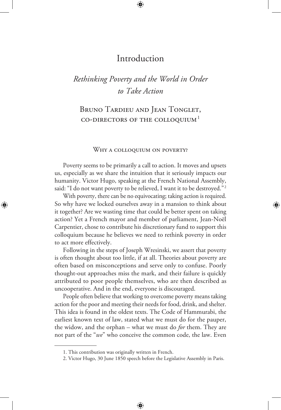# Introduction

# *Rethinking Poverty and the World in Order to Take Action*

# BRUNO TARDIEU AND JEAN TONGLET, CO-DIRECTORS OF THE COLLOQUIUM $<sup>1</sup>$ </sup>

### WHY A COLLOQUIUM ON POVERTY?

Poverty seems to be primarily a call to action. It moves and upsets us, especially as we share the intuition that it seriously impacts our humanity. Victor Hugo, speaking at the French National Assembly, said: "I do not want poverty to be relieved, I want it to be destroyed."<sup>2</sup>

With poverty, there can be no equivocating; taking action is required. So why have we locked ourselves away in a mansion to think about it together? Are we wasting time that could be better spent on taking action? Yet a French mayor and member of parliament, Jean-Noël Carpentier, chose to contribute his discretionary fund to support this colloquium because he believes we need to rethink poverty in order to act more effectively.

⊕

Following in the steps of Joseph Wresinski, we assert that poverty is often thought about too little, if at all. Theories about poverty are often based on misconceptions and serve only to confuse. Poorly thought-out approaches miss the mark, and their failure is quickly attributed to poor people themselves, who are then described as uncooperative. And in the end, everyone is discouraged.

People often believe that working to overcome poverty means taking action for the poor and meeting their needs for food, drink, and shelter. This idea is found in the oldest texts. The Code of Hammurabi, the earliest known text of law, stated what we must do for the pauper, the widow, and the orphan – what we must do *for* them. They are not part of the "*we*" who conceive the common code, the law. Even

<sup>1.</sup> This contribution was originally written in French.

<sup>2.</sup> Victor Hugo, 30 June 1850 speech before the Legislative Assembly in Paris.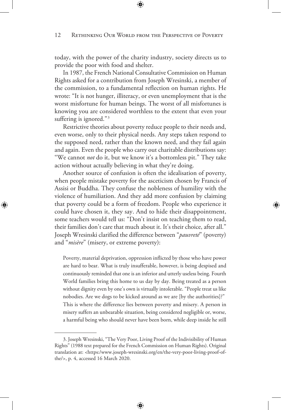today, with the power of the charity industry, society directs us to provide the poor with food and shelter.

In 1987, the French National Consultative Commission on Human Rights asked for a contribution from Joseph Wresinski, a member of the commission, to a fundamental reflection on human rights. He wrote: "It is not hunger, illiteracy, or even unemployment that is the worst misfortune for human beings. The worst of all misfortunes is knowing you are considered worthless to the extent that even your suffering is ignored."<sup>3</sup>

Restrictive theories about poverty reduce people to their needs and, even worse, only to their physical needs. Any steps taken respond to the supposed need, rather than the known need, and they fail again and again. Even the people who carry out charitable distributions say: "We cannot *not* do it, but we know it's a bottomless pit." They take action without actually believing in what they're doing.

Another source of confusion is often the idealisation of poverty, when people mistake poverty for the asceticism chosen by Francis of Assisi or Buddha. They confuse the nobleness of humility with the violence of humiliation. And they add more confusion by claiming that poverty could be a form of freedom. People who experience it could have chosen it, they say. And to hide their disappointment, some teachers would tell us: "Don't insist on teaching them to read, their families don't care that much about it. It's their choice, after all." Joseph Wresinski clarified the difference between "*pauvreté*" (poverty) and "*misère*" (misery, or extreme poverty):

 $\bigoplus$ 

Poverty, material deprivation, oppression inflicted by those who have power are hard to bear. What is truly insufferable, however, is being despised and continuously reminded that one is an inferior and utterly useless being. Fourth World families bring this home to us day by day. Being treated as a person without dignity even by one's own is virtually intolerable. "People treat us like nobodies. Are we dogs to be kicked around as we are [by the authorities]?" This is where the difference lies between poverty and misery. A person in misery suffers an unbearable situation, being considered negligible or, worse, a harmful being who should never have been born, while deep inside he still

<sup>3.</sup> Joseph Wresinski, "The Very Poor, Living Proof of the Indivisibility of Human Rights" (1988 text prepared for the French Commission on Human Rights). Original translation at: <https:/www.joseph-wresinski.org/en/the-very-poor-living-proof-ofthe/>, p. 4, accessed 16 March 2020.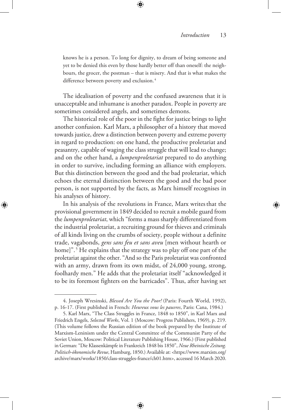knows he is a person. To long for dignity, to dream of being someone and yet to be denied this even by those hardly better off than oneself: the neighbours, the grocer, the postman – that is misery. And that is what makes the difference between poverty and exclusion.<sup>4</sup>

The idealisation of poverty and the confused awareness that it is unacceptable and inhumane is another paradox. People in poverty are sometimes considered angels, and sometimes demons.

The historical role of the poor in the fight for justice brings to light another confusion. Karl Marx, a philosopher of a history that moved towards justice, drew a distinction between poverty and extreme poverty in regard to production: on one hand, the productive proletariat and peasantry, capable of waging the class struggle that will lead to change; and on the other hand, a *lumpenproletariat* prepared to do anything in order to survive, including forming an alliance with employers. But this distinction between the good and the bad proletariat, which echoes the eternal distinction between the good and the bad poor person, is not supported by the facts, as Marx himself recognises in his analyses of history.

In his analysis of the revolutions in France, Marx writesthat the provisional government in 1849 decided to recruit a mobile guard from the *lumpenproletariat*, which "forms a mass sharply differentiated from the industrial proletariat, a recruiting ground for thieves and criminals of all kinds living on the crumbs of society, people without a definite trade, vagabonds, *gens sans feu et sans aveu* [men without hearth or home]".5 He explains that the strategy was to play off one part of the proletariat against the other. "And so the Paris proletariat was confronted with an army, drawn from its own midst, of 24,000 young, strong, foolhardy men." He adds that the proletariat itself "acknowledged it to be its foremost fighters on the barricades". Thus, after having set

⊕

<sup>4.</sup> Joseph Wresinski, *Blessed Are You the Poor!* (Paris: Fourth World, 1992), p. 16-17. (First published in French: *Heureux vous les pauvres*, Paris: Cana, 1984.)

<sup>5.</sup> Karl Marx, "The Class Struggles in France, 1848 to 1850", in Karl Marx and Friedrich Engels, *Selected Works*, Vol. 1 (Moscow: Progress Publishers, 1969), p. 219. (This volume follows the Russian edition of the book prepared by the Institute of Marxism-Leninism under the Central Committee of the Communist Party of the Soviet Union, Moscow: Political Literature Publishing House, 1966.) (First published in German: "Die Klassenkämpfe in Frankreich 1848 bis 1850", *Neue Rheinische Zeitung. Politisch-ökonomische Revue*, Hamburg, 1850.) Available at: <https://www.marxists.org/ archive/marx/works/1850/class-struggles-france/ch01.htm>, accessed 16 March 2020.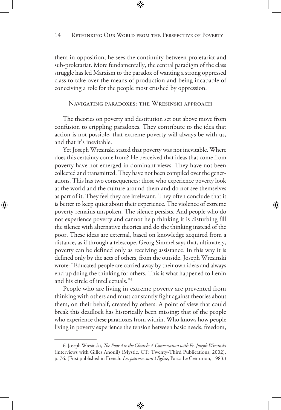them in opposition, he sees the continuity between proletariat and sub-proletariat. More fundamentally, the central paradigm of the class struggle has led Marxism to the paradox of wanting a strong oppressed class to take over the means of production and being incapable of conceiving a role for the people most crushed by oppression.

### Navigating paradoxes: the Wresinski approach

The theories on poverty and destitution set out above move from confusion to crippling paradoxes. They contribute to the idea that action is not possible, that extreme poverty will always be with us, and that it's inevitable.

Yet Joseph Wresinski stated that poverty was not inevitable. Where does this certainty come from? He perceived that ideas that come from poverty have not emerged in dominant views. They have not been collected and transmitted. They have not been compiled over the generations. This has two consequences: those who experience poverty look at the world and the culture around them and do not see themselves as part of it. They feel they are irrelevant. They often conclude that it is better to keep quiet about their experience. The violence of extreme poverty remains unspoken. The silence persists. And people who do not experience poverty and cannot help thinking it is disturbing fill the silence with alternative theories and do the thinking instead of the poor. These ideas are external, based on knowledge acquired from a distance, as if through a telescope. Georg Simmel says that, ultimately, poverty can be defined only as receiving assistance. In this way it is defined only by the acts of others, from the outside. Joseph Wresinski wrote: "Educated people are carried away by their own ideas and always end up doing the thinking for others. This is what happened to Lenin and his circle of intellectuals."6

⊕

People who are living in extreme poverty are prevented from thinking with others and must constantly fight against theories about them, on their behalf, created by others. A point of view that could break this deadlock has historically been missing: that of the people who experience these paradoxes from within. Who knows how people living in poverty experience the tension between basic needs, freedom,

<sup>6.</sup> Joseph Wresinski, *The Poor Are the Church: A Conversation with Fr. Joseph Wresinski* (interviews with Gilles Anouil) (Mystic, CT: Twenty-Third Publications, 2002), p. 76. (First published in French: *Les pauvres sont l'Église*, Paris: Le Centurion, 1983.)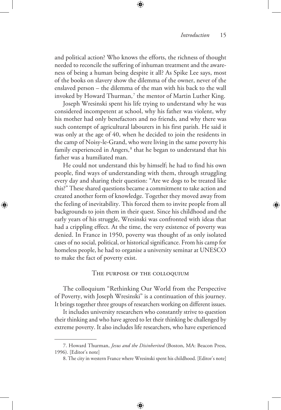⇔

and political action? Who knows the efforts, the richness of thought needed to reconcile the suffering of inhuman treatment and the awareness of being a human being despite it all? As Spike Lee says, most of the books on slavery show the dilemma of the owner, never of the enslaved person – the dilemma of the man with his back to the wall invoked by Howard Thurman, $^7$  the mentor of Martin Luther King.

⊕

Joseph Wresinski spent his life trying to understand why he was considered incompetent at school, why his father was violent, why his mother had only benefactors and no friends, and why there was such contempt of agricultural labourers in his first parish. He said it was only at the age of 40, when he decided to join the residents in the camp of Noisy-le-Grand, who were living in the same poverty his family experienced in Angers,<sup>8</sup> that he began to understand that his father was a humiliated man.

He could not understand this by himself; he had to find his own people, find ways of understanding with them, through struggling every day and sharing their question: "Are we dogs to be treated like this?" These shared questions became a commitment to take action and created another form of knowledge. Together they moved away from the feeling of inevitability. This forced them to invite people from all backgrounds to join them in their quest. Since his childhood and the early years of his struggle, Wresinski was confronted with ideas that had a crippling effect. At the time, the very existence of poverty was denied. In France in 1950, poverty was thought of as only isolated cases of no social, political, or historical significance. From his camp for homeless people, he had to organise a university seminar at UNESCO to make the fact of poverty exist.

⊕

#### The purpose of the colloquium

The colloquium "Rethinking Our World from the Perspective of Poverty, with Joseph Wresinski" is a continuation of this journey. It brings together three groups of researchers working on different issues.

It includes university researchers who constantly strive to question their thinking and who have agreed to let their thinking be challenged by extreme poverty. It also includes life researchers, who have experienced

<sup>7.</sup> Howard Thurman, *Jesus and the Disinherited* (Boston, MA: Beacon Press, 1996). [Editor's note]

<sup>8.</sup> The city in western France where Wresinski spent his childhood. [Editor's note]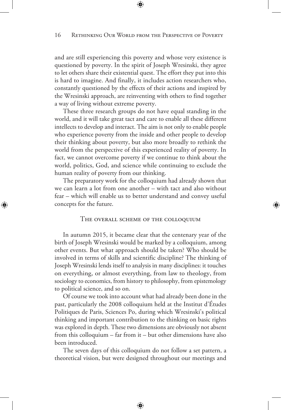and are still experiencing this poverty and whose very existence is questioned by poverty. In the spirit of Joseph Wresinski, they agree to let others share their existential quest. The effort they put into this is hard to imagine. And finally, it includes action researchers who, constantly questioned by the effects of their actions and inspired by the Wresinski approach, are reinventing with others to find together a way of living without extreme poverty.

These three research groups do not have equal standing in the world, and it will take great tact and care to enable all these different intellects to develop and interact. The aim is not only to enable people who experience poverty from the inside and other people to develop their thinking about poverty, but also more broadly to rethink the world from the perspective of this experienced reality of poverty. In fact, we cannot overcome poverty if we continue to think about the world, politics, God, and science while continuing to exclude the human reality of poverty from our thinking.

The preparatory work for the colloquium had already shown that we can learn a lot from one another – with tact and also without fear – which will enable us to better understand and convey useful concepts for the future.

⊕

### The overall scheme of the colloquium

In autumn 2015, it became clear that the centenary year of the birth of Joseph Wresinski would be marked by a colloquium, among other events. But what approach should be taken? Who should be involved in terms of skills and scientific discipline? The thinking of Joseph Wresinski lends itself to analysis in many disciplines: it touches on everything, or almost everything, from law to theology, from sociology to economics, from history to philosophy, from epistemology to political science, and so on.

Of course we took into account what had already been done in the past, particularly the 2008 colloquium held at the Institut d'Études Politiques de Paris, Sciences Po, during which Wresinski's political thinking and important contribution to the thinking on basic rights was explored in depth. These two dimensions are obviously not absent from this colloquium – far from it – but other dimensions have also been introduced.

The seven days of this colloquium do not follow a set pattern, a theoretical vision, but were designed throughout our meetings and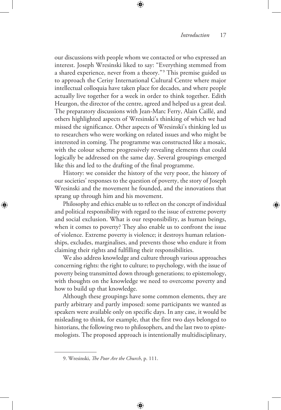⇔

our discussions with people whom we contacted or who expressed an interest. Joseph Wresinski liked to say: "Everything stemmed from a shared experience, never from a theory."<sup>9</sup> This premise guided us to approach the Cerisy International Cultural Centre where major intellectual colloquia have taken place for decades, and where people actually live together for a week in order to think together. Edith Heurgon, the director of the centre, agreed and helped us a great deal. The preparatory discussions with Jean-Marc Ferry, Alain Caillé, and others highlighted aspects of Wresinski's thinking of which we had missed the significance. Other aspects of Wresinski's thinking led us to researchers who were working on related issues and who might be interested in coming. The programme was constructed like a mosaic, with the colour scheme progressively revealing elements that could logically be addressed on the same day. Several groupings emerged like this and led to the drafting of the final programme.

History: we consider the history of the very poor, the history of our societies' responses to the question of poverty, the story of Joseph Wresinski and the movement he founded, and the innovations that sprang up through him and his movement.

Philosophy and ethics enable us to reflect on the concept of individual and political responsibility with regard to the issue of extreme poverty and social exclusion. What is our responsibility, as human beings, when it comes to poverty? They also enable us to confront the issue of violence. Extreme poverty is violence; it destroys human relationships, excludes, marginalises, and prevents those who endure it from claiming their rights and fulfilling their responsibilities.

We also address knowledge and culture through various approaches concerning rights: the right to culture; to psychology, with the issue of poverty being transmitted down through generations; to epistemology, with thoughts on the knowledge we need to overcome poverty and how to build up that knowledge.

Although these groupings have some common elements, they are partly arbitrary and partly imposed: some participants we wanted as speakers were available only on specific days. In any case, it would be misleading to think, for example, that the first two days belonged to historians, the following two to philosophers, and the last two to epistemologists. The proposed approach is intentionally multidisciplinary,

⊕

<sup>9.</sup> Wresinski, *The Poor Are the Church*, p. 111.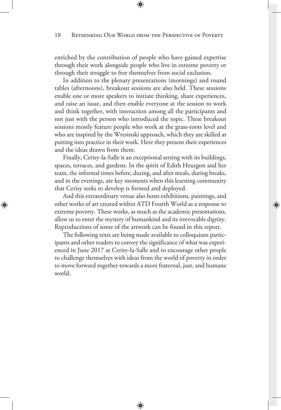enriched by the contribution of people who have gained expertise through their work alongside people who live in extreme poverty or through their struggle to free themselves from social exclusion.

In addition to the plenary presentations (mornings) and round tables (afternoons), breakout sessions are also held. These sessions enable one or more speakers to initiate thinking, share experiences, and raise an issue, and then enable everyone at the session to work and think together, with interaction among all the participants and not just with the person who introduced the topic. These breakout sessions mostly feature people who work at the grass-roots level and who are inspired by the Wresinski approach, which they are skilled at putting into practice in their work. Here they present their experiences and the ideas drawn from them.

Finally, Cerisy-la-Salle is an exceptional setting with its buildings, spaces, terraces, and gardens. In the spirit of Edith Heurgon and her team, the informal times before, during, and after meals, during breaks, and in the evenings, are key moments when this learning community that Cerisy seeks to develop is formed and deployed.

And this extraordinary venue also hosts exhibitions, paintings, and other works of art created within ATD Fourth World as a response to extreme poverty. These works, as much as the academic presentations, allow us to enter the mystery of humankind and its irrevocable dignity. Reproductions of some of the artwork can be found in this report.

⇔

⊕

The following texts are being made available to colloquium participants and other readers to convey the significance of what was experienced in June 2017 at Cerisy-la-Salle and to encourage other people to challenge themselves with ideas from the world of poverty in order to move forward together towards a more fraternal, just, and humane world.

€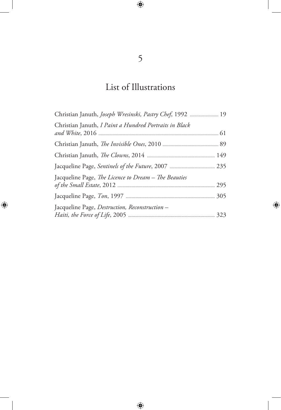# List of Illustrations

| Christian Januth, <i>Joseph Wresinski</i> , <i>Pastry Chef</i> , 1992  19 |  |
|---------------------------------------------------------------------------|--|
| Christian Januth, I Paint a Hundred Portraits in Black                    |  |
|                                                                           |  |
|                                                                           |  |
|                                                                           |  |
| Jacqueline Page, The Licence to Dream - The Beauties                      |  |
|                                                                           |  |
| Jacqueline Page, Destruction, Reconstruction -                            |  |

 $\bigoplus$ 

 $\bigoplus$ 

 $\bigoplus$ 

 $\overline{\phantom{a}}$ 

 $\bigoplus$ 

 $\begin{array}{c} \hline \end{array}$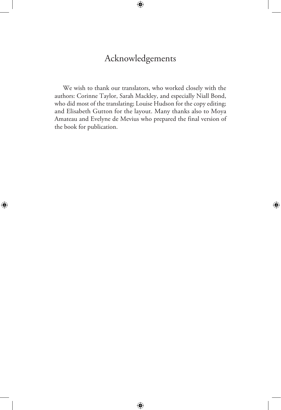# Acknowledgements

 $\bigoplus$ 

We wish to thank our translators, who worked closely with the authors: Corinne Taylor, Sarah Mackley, and especially Niall Bond, who did most of the translating; Louise Hudson for the copy editing; and Elisabeth Gutton for the layout. Many thanks also to Moya Amateau and Evelyne de Mevius who prepared the final version of the book for publication.

 $\bigoplus$ 

⊕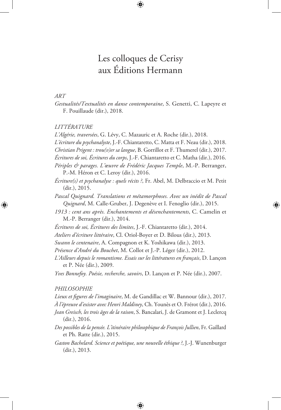# Les colloques de Cerisy aux Éditions Hermann

 $\bigcirc$ 

### *ART*

⊕

*Gestualités/Textualités en danse contemporaine*, S. Genetti, C. Lapeyre et F. Pouillaude (dir.), 2018.

### *LITTÉRATURE*

*L'Algérie, traversées*, G. Lévy, C. Mazauric et A. Roche (dir.), 2018.

*L'écriture du psychanalyste*, J.-F. Chiantaretto, C. Matta et F. Neau (dir.), 2018.

*Christian Prigent : trou(v)er sa langue*, B. Gorrillot et F. Thumerel (dir.), 2017.

*Écritures de soi, Écritures du corps*, J.-F. Chiantaretto et C. Matha (dir.), 2016.

*Périples & parages. L'œuvre de Frédéric Jacques Temple*, M.-P. Berranger, P.-M. Héron et C. Leroy (dir.), 2016.

*Écriture(s) et psychanalyse : quels récits ?*, Fr. Abel, M. Delbraccio et M. Petit (dir.), 2015.

*Pascal Quignard. Translations et métamorphoses. Avec un inédit de Pascal Quignard*, M. Calle-Gruber, J. Degenève et I. Fenoglio (dir.), 2015.

⊕

*1913 : cent ans après. Enchantements et désenchantements*, C. Camelin et M.-P. Berranger (dir.), 2014.

*Écritures de soi, Écritures des limites*, J.-F. Chiantaretto (dir.), 2014.

*Ateliers d'écriture littéraire*, Cl. Oriol-Boyer et D. Bilous (dir.), 2013.

*Swann le centenaire*, A. Compagnon et K. Yoshikawa (dir.), 2013.

*Présence d'André du Bouchet*, M. Collot et J.-P. Léger (dir.), 2012.

*L'Ailleurs depuis le romantisme. Essais sur les littératures en français*, D. Lançon et P. Née (dir.), 2009.

*Yves Bonnefoy. Poésie, recherche, savoirs*, D. Lançon et P. Née (dir.), 2007.

### *PHILOSOPHIE*

*Lieux et figures de l'imaginaire*, M. de Gandillac et W. Bannour (dir.), 2017.

*À l'épreuve d'exister avec Henri Maldiney*, Ch. Younès et O. Frérot (dir.), 2016.

*Jean Greisch, les trois âges de la raison*, S. Bancalari, J. de Gramont et J. Leclercq (dir.), 2016.

- *Des possibles de la pensée. L'itinéraire philosophique de François Jullien*, Fr. Gaillard et Ph. Ratte (dir.), 2015.
- *Gaston Bachelard. Science et poétique, une nouvelle éthique ?*, J.-J. Wunenburger (dir.), 2013.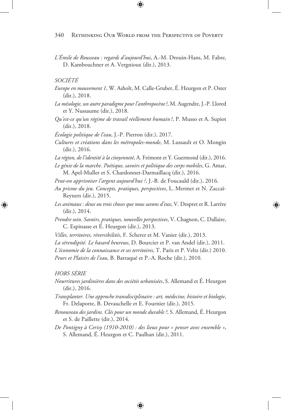⊕

*L'Émile de Rousseau : regards d'aujourd'hui*, A.-M. Drouin-Hans, M. Fabre, D. Kambouchner et A. Vergnioux (dir.), 2013.

### *SOCIÉTÉ*

- *Europe en mouvement 1*, W. Asholt, M. Calle-Gruber, É. Heurgon et P. Oster (dir.), 2018.
- *La mésologie, un autre paradigme pour l'anthropocène?*, M. Augendre, J.-P. Llored et Y. Nussaume (dir.), 2018.
- *Qu'est-ce qu'un régime de travail réellement humain ?*, P. Musso et A. Supiot (dir.), 2018.

*Écologie politique de l'eau*, J.-P. Pierron (dir.), 2017.

*Cultures et créations dans les métropoles-monde*, M. Lussault et O. Mongin (dir.), 2016.

*La région, de l'identité à la citoyenneté*, A. Frémont et Y. Guermond (dir.), 2016.

*Le génie de la marche. Poétique, savoirs et politique des corps mobiles*, G. Amar, M. Apel-Muller et S. Chardonnet-Darmaillacq (dir.), 2016.

*Peut-on apprivoiser l'argent aujourd'hui ?*, J.-B. de Foucauld (dir.), 2016.

- *Au prisme du jeu. Concepts, pratiques, perspectives*, L. Mermet et N. Zaccaï-Reyners (dir.), 2015.
- *Les animaux : deux ou trois choses que nous savons d'eux*, V. Despret et R. Larrère (dir.), 2014.

⊕

- *Prendre soin. Savoirs, pratiques, nouvelles perspectives*, V. Chagnon, C. Dallaire, C. Espinasse et É. Heurgon (dir.), 2013.
- *Villes, territoires, réversibilités*, F. Scherer et M. Vanier (dir.), 2013.

*La sérendipité. Le hasard heureux*, D. Bourcier et P. van Andel (dir.), 2011.

*L'économie de la connaissance et ses territoires*, T. Paris et P. Veltz (dir.) 2010. *Peurs et Plaisirs de l'eau*, B. Barraqué et P.-A. Roche (dir.), 2010.

#### *HORS SÉRIE*

⊕

- *Nourritures jardinières dans des sociétés urbanisées*, S. Allemand et É. Heurgon (dir.), 2016.
- *Transplanter. Une approche transdisciplinaire : art, médecine, histoire et biologie*, Fr. Delaporte, B. Devauchelle et E. Fournier (dir.), 2015.
- *Renouveau des jardins. Clés pour un monde durable ?*, S. Allemand, É. Heurgon et S. de Paillette (dir.), 2014.
- *De Pontigny à Cerisy (1910-2010) : des lieux pour « penser avec ensemble »*, S. Allemand, É. Heurgon et C. Paulhan (dir.), 2011.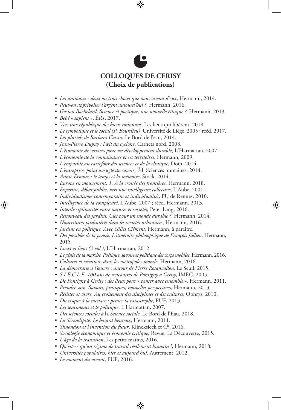

⊕

- *• Les animaux : deux ou trois choses que nous savons d'eux*, Hermann, 2014.
- *• Peut-on apprivoiser l'argent aujourd'hui ?*, Hermann, 2016.
- *• Gaston Bachelard. Science et poétique, une nouvelle éthique ?*, Hermann, 2013.
- *• Bébé « sapiens »*, Érès, 2017.

⊕

- *• Vers une république des biens communs*, Les liens qui libèrent, 2018.
- *• Le symbolique et le social (P. Bourdieu)*, Université de Liège, 2005 ; rééd. 2017.
- *• Les pluriels de Barbara Cassin*, Le Bord de l'eau, 2014.
- *• Jean-Pierre Dupuy : l'œil du cyclone*, Carnets nord, 2008.
- *• L'économie de services pour un développement durable*, L'Harmattan, 2007.
- *• L'économie de la connaissance et ses territoires*, Hermann, 2009.
- *• L'empathie au carrefour des sciences et de la clinique*, Doin, 2014.
- *• L'entreprise, point aveugle du savoir*, Éd. Sciences humaines, 2014.
- *• Annie Ernaux : le temps et la mémoire*, Stock, 2014.
- *• Europe en mouvement. 1. À la croisée des frontières*, Hermann, 2018.
- *• Expertise, débat public, vers une intelligence collective*, L'Aube, 2001.
- *• Individualismes contemporains et individualités*, PU de Rennes, 2010.
- *• Intelligence de la complexité*, L'Aube, 2007 ; rééd. Hermann, 2013.
- *• Interdisciplinarités entre natures et sociétés*, Peter Lang, 2016.
- *• Renouveau des Jardins. Clés pour un monde durable ?*, Hermann, 2014.
- *• Nourritures jardinières dans les sociétés urbanisées*, Hermann, 2016.
- *• Jardins en politique. Avec Gilles Clément*, Hermann, à paraître.
- *Des possibles de la pensée. L'itinéraire philosophique de François Jullien*, Hermann, 2015.
- *• Lieux et liens (2 vol.)*, L'Harmattan, 2012.
- *• Le génie de la marche. Poétique, savoirs et politique des corps mobiles*, Hermann, 2016.
- *• Cultures et créations dans les métropoles-monde*, Hermann, 2016.
- *• La démocratie à l'œuvre : autour de Pierre Rosanvallon*, Le Seuil, 2015.
- *• S.I.È.C.L.E. 100 ans de rencontres de Pontigny à Cerisy*, IMEC, 2005.
- *• De Pontigny à Cerisy : des lieux pour « penser avec ensemble »*, Hermann, 2011.
- *• Prendre soin. Savoirs, pratiques, nouvelles perspectives*, Hermann, 2013.
- *• Résister et vivre. Au croisement des disciplines et des cultures*, Ophrys, 2010.
- *• Du risque à la menace : penser la catastrophe*, PUF, 2013.
- *• Les sentiments et le politique*, L'Harmattan, 2007.
- *• Des sciences sociales à* la *Science sociale*, Le Bord de l'Eau, 2018.
- *• La Sérendipité. Le hasard heureux*, Hermann, 2011.
- *• Simondon et l'invention du futur*, Klincksieck et Cie, 2016.
- *• Sociologie économique et économie critique*, Revue, La Découverte, 2015.
- *• L'âge de la transition*, Les petits matins, 2016.
- *• Qu'est-ce qu'un régime de travail réellement humain ?*, Hermann, 2018.

- *• Universités populaires, hier et aujourd'hui*, Autrement, 2012.
- *• Le moment du vivant*, PUF, 2016.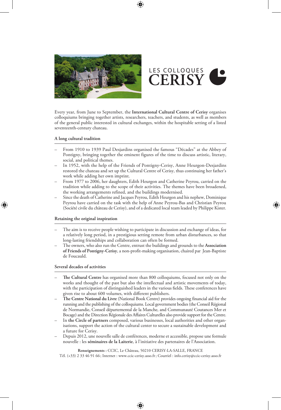



⊕

Every year, from June to September, the **International Cultural Centre of Cerisy** organises colloquiums bringing together artists, researchers, teachers, and students, as well as members of the general public interested in cultural exchanges, within the hospitable setting of a listed seventeenth-century chateau.

#### **A long cultural tradition**

- From 1910 to 1939 Paul Desjardins organised the famous "Décades" at the Abbey of Pontigny, bringing together the eminent figures of the time to discuss artistic, literary, social, and political themes.
- In 1952, with the help of the Friends of Pontigny-Cerisy, Anne Heurgon-Desjardins restored the chateau and set up the Cultural Centre of Cerisy, thus continuing her father's work while adding her own imprint.
- From 1977 to 2006, her daughters, Edith Heurgon and Catherine Peyrou, carried on the tradition while adding to the scope of their activities. The themes have been broadened, the working arrangements refined, and the buildings modernised.
- Since the death of Catherine and Jacques Peyrou, Edith Heurgon and his nephew, Dominique Peyrou have carried on the task with the help of Anne Peyrou-Bas and Christian Peyrou (Société civile du château de Cerisy), and of a dedicated local team leaded by Philippe Kister.

#### **Retaining the original inspiration**

⊕

- The aim is to receive people wishing to participate in discussion and exchange of ideas, for a relatively long period, in a prestigious setting remote from urban disturbances, so that long-lasting friendships and collaboration can often be formed.
- The owners, who also run the Centre, entrust the buildings and grounds to the **Association of Friends of Pontigny-Cerisy**, a non-profit-making organisation, chaired par Jean-Baptiste de Foucauld.

#### **Several decades of activities**

- **The Cultural Centre** has organised more than 800 colloquiums, focused not only on the works and thought of the past but also the intellectual and artistic movements of today, with the participation of distinguished leaders in the various fields. These conferences have given rise to about 600 volumes, with different publishers.
- **The Centre National du Livre** (National Book Centre) provides ongoing financial aid for the running and the publishing of the colloquiums. Local government bodies (the Conseil Régional de Normandie, Conseil départemental de la Manche, and Communauté Coutances Mer et Bocage) and the Direction Régionale des Affaires Culturelles also provide support for the Centre.
- In **the Circle of partners** composed, various businesses, local authorities and other organisations, support the action of the cultural center to secure a sustainable development and a future for Cerisy.
- Depuis 2012, une nouvelle salle de conférences, moderne et accessible, propose une formule nouvelle : les **séminaires de la Laiterie**, à l'initiative des partenaires de l'Association.

**Renseignements :** CCIC, Le Château, 50210 CERISY-LA-SALLE, FRANCE

Tél. (+33) 2 33 46 91 66 ; Internet : www.ccic-cerisy.asso.fr; Courriel : info.cerisy@ccic-cerisy.asso.fr